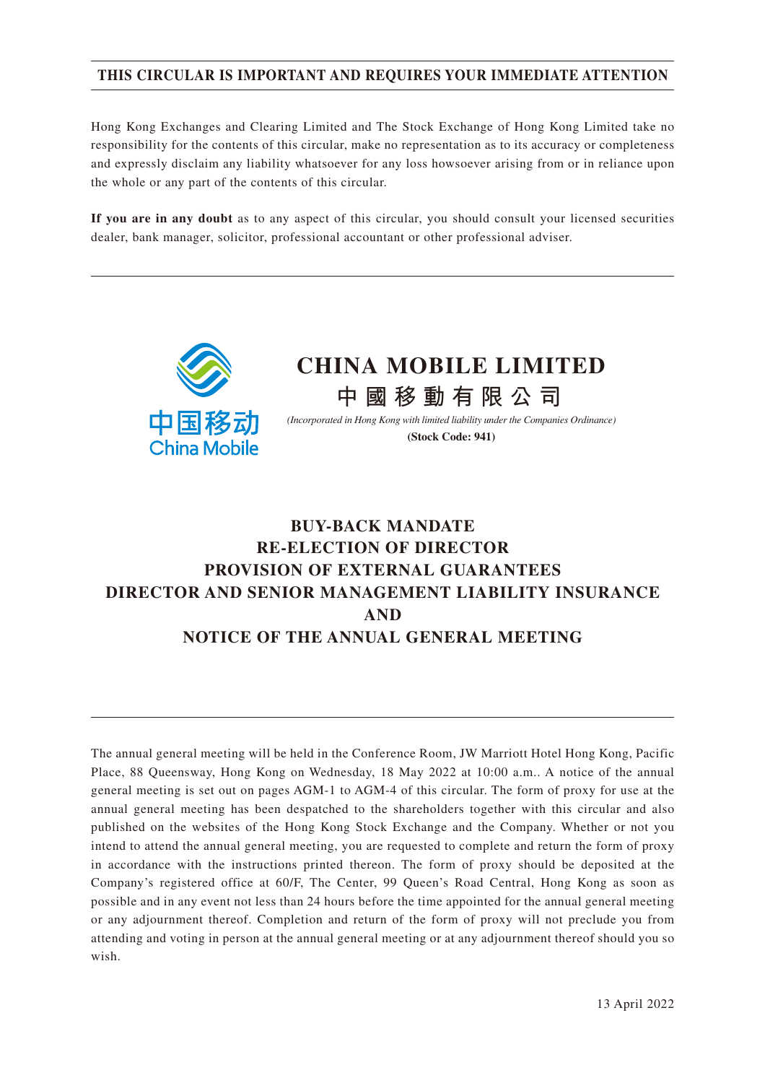### **THIS CIRCULAR IS IMPORTANT AND REQUIRES YOUR IMMEDIATE ATTENTION**

Hong Kong Exchanges and Clearing Limited and The Stock Exchange of Hong Kong Limited take no responsibility for the contents of this circular, make no representation as to its accuracy or completeness and expressly disclaim any liability whatsoever for any loss howsoever arising from or in reliance upon the whole or any part of the contents of this circular.

**If you are in any doubt** as to any aspect of this circular, you should consult your licensed securities dealer, bank manager, solicitor, professional accountant or other professional adviser.



# **BUY-BACK MANDATE RE-ELECTION OF DIRECTOR PROVISION OF EXTERNAL GUARANTEES DIRECTOR AND SENIOR MANAGEMENT LIABILITY INSURANCE AND NOTICE OF THE ANNUAL GENERAL MEETING**

The annual general meeting will be held in the Conference Room, JW Marriott Hotel Hong Kong, Pacific Place, 88 Queensway, Hong Kong on Wednesday, 18 May 2022 at 10:00 a.m.. A notice of the annual general meeting is set out on pages AGM-1 to AGM-4 of this circular. The form of proxy for use at the annual general meeting has been despatched to the shareholders together with this circular and also published on the websites of the Hong Kong Stock Exchange and the Company. Whether or not you intend to attend the annual general meeting, you are requested to complete and return the form of proxy in accordance with the instructions printed thereon. The form of proxy should be deposited at the Company's registered office at 60/F, The Center, 99 Queen's Road Central, Hong Kong as soon as possible and in any event not less than 24 hours before the time appointed for the annual general meeting or any adjournment thereof. Completion and return of the form of proxy will not preclude you from attending and voting in person at the annual general meeting or at any adjournment thereof should you so wish.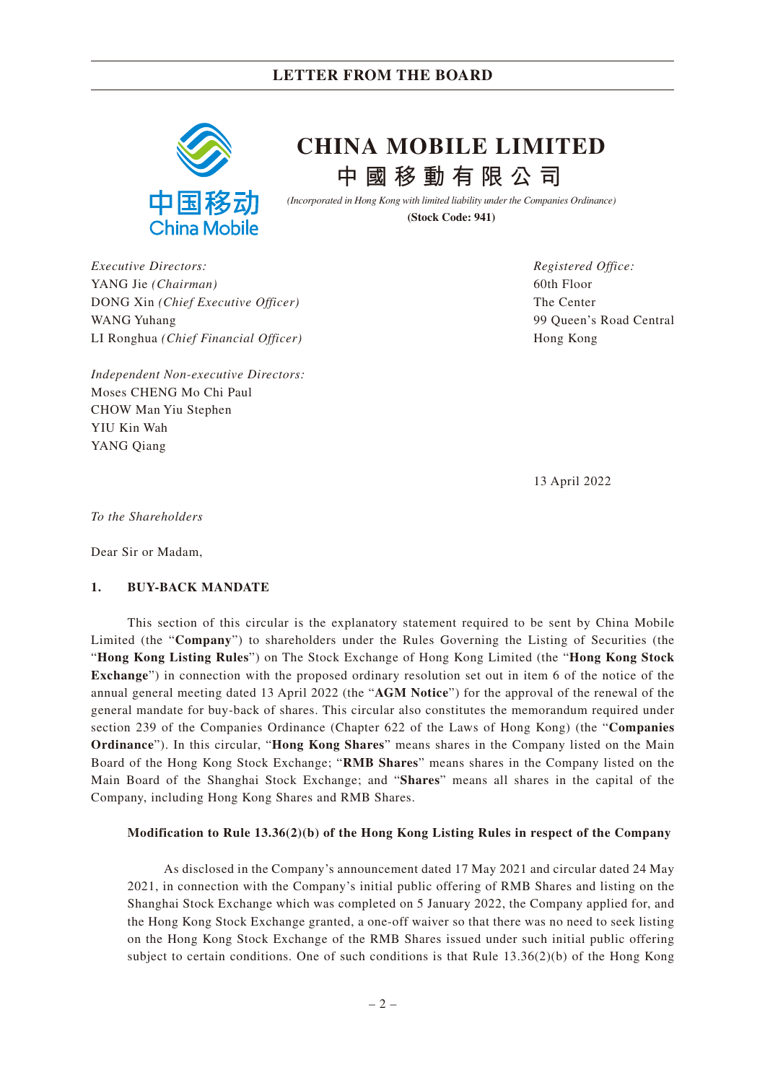

# **中國移動有限公司 CHINA MOBILE LIMITED**

*(Incorporated in Hong Kong with limited liability under the Companies Ordinance)* **(Stock Code: 941)**

*Executive Directors:* YANG Jie *(Chairman)* DONG Xin *(Chief Executive Officer)* WANG Yuhang LI Ronghua *(Chief Financial Officer)*

*Independent Non-executive Directors:* Moses CHENG Mo Chi Paul CHOW Man Yiu Stephen YIU Kin Wah YANG Qiang

*Registered Office:* 60th Floor The Center 99 Queen's Road Central Hong Kong

13 April 2022

*To the Shareholders*

Dear Sir or Madam,

#### **1. BUY-BACK MANDATE**

This section of this circular is the explanatory statement required to be sent by China Mobile Limited (the "**Company**") to shareholders under the Rules Governing the Listing of Securities (the "**Hong Kong Listing Rules**") on The Stock Exchange of Hong Kong Limited (the "**Hong Kong Stock Exchange**") in connection with the proposed ordinary resolution set out in item 6 of the notice of the annual general meeting dated 13 April 2022 (the "**AGM Notice**") for the approval of the renewal of the general mandate for buy-back of shares. This circular also constitutes the memorandum required under section 239 of the Companies Ordinance (Chapter 622 of the Laws of Hong Kong) (the "**Companies Ordinance**"). In this circular, "**Hong Kong Shares**" means shares in the Company listed on the Main Board of the Hong Kong Stock Exchange; "**RMB Shares**" means shares in the Company listed on the Main Board of the Shanghai Stock Exchange; and "**Shares**" means all shares in the capital of the Company, including Hong Kong Shares and RMB Shares.

#### **Modification to Rule 13.36(2)(b) of the Hong Kong Listing Rules in respect of the Company**

As disclosed in the Company's announcement dated 17 May 2021 and circular dated 24 May 2021, in connection with the Company's initial public offering of RMB Shares and listing on the Shanghai Stock Exchange which was completed on 5 January 2022, the Company applied for, and the Hong Kong Stock Exchange granted, a one-off waiver so that there was no need to seek listing on the Hong Kong Stock Exchange of the RMB Shares issued under such initial public offering subject to certain conditions. One of such conditions is that Rule 13.36(2)(b) of the Hong Kong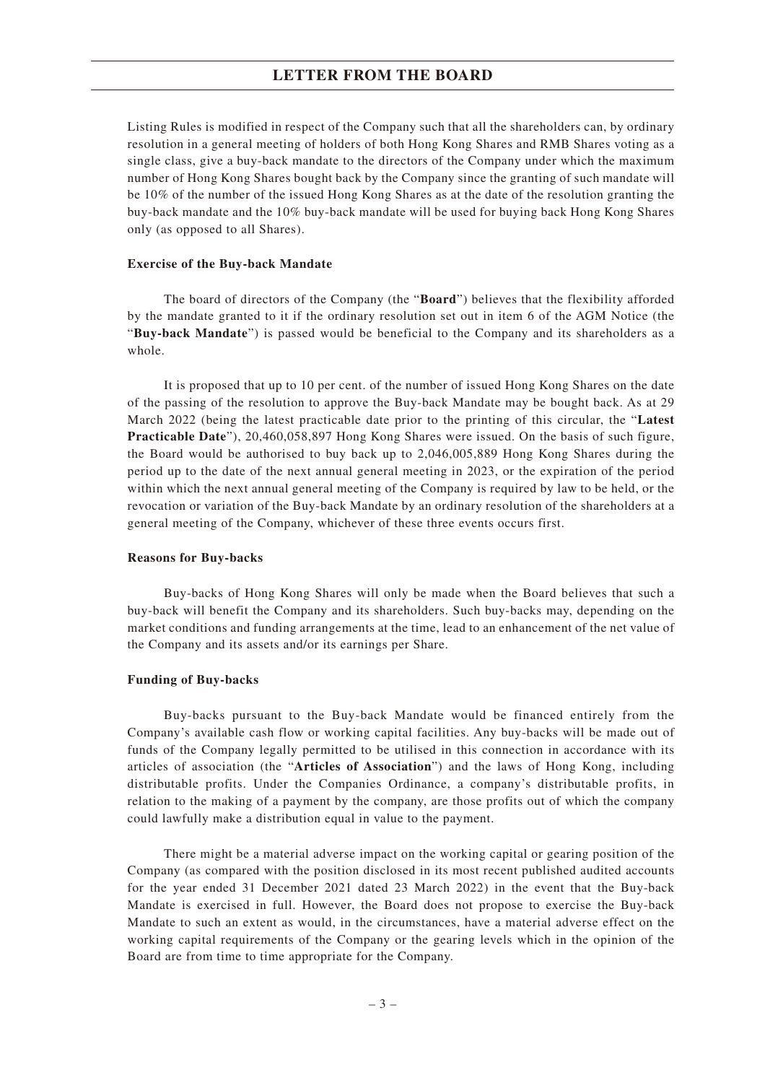Listing Rules is modified in respect of the Company such that all the shareholders can, by ordinary resolution in a general meeting of holders of both Hong Kong Shares and RMB Shares voting as a single class, give a buy-back mandate to the directors of the Company under which the maximum number of Hong Kong Shares bought back by the Company since the granting of such mandate will be 10% of the number of the issued Hong Kong Shares as at the date of the resolution granting the buy-back mandate and the 10% buy-back mandate will be used for buying back Hong Kong Shares only (as opposed to all Shares).

#### **Exercise of the Buy-back Mandate**

The board of directors of the Company (the "**Board**") believes that the flexibility afforded by the mandate granted to it if the ordinary resolution set out in item 6 of the AGM Notice (the "**Buy-back Mandate**") is passed would be beneficial to the Company and its shareholders as a whole.

It is proposed that up to 10 per cent. of the number of issued Hong Kong Shares on the date of the passing of the resolution to approve the Buy-back Mandate may be bought back. As at 29 March 2022 (being the latest practicable date prior to the printing of this circular, the "**Latest Practicable Date**"), 20,460,058,897 Hong Kong Shares were issued. On the basis of such figure, the Board would be authorised to buy back up to 2,046,005,889 Hong Kong Shares during the period up to the date of the next annual general meeting in 2023, or the expiration of the period within which the next annual general meeting of the Company is required by law to be held, or the revocation or variation of the Buy-back Mandate by an ordinary resolution of the shareholders at a general meeting of the Company, whichever of these three events occurs first.

#### **Reasons for Buy-backs**

Buy-backs of Hong Kong Shares will only be made when the Board believes that such a buy-back will benefit the Company and its shareholders. Such buy-backs may, depending on the market conditions and funding arrangements at the time, lead to an enhancement of the net value of the Company and its assets and/or its earnings per Share.

#### **Funding of Buy-backs**

Buy-backs pursuant to the Buy-back Mandate would be financed entirely from the Company's available cash flow or working capital facilities. Any buy-backs will be made out of funds of the Company legally permitted to be utilised in this connection in accordance with its articles of association (the "**Articles of Association**") and the laws of Hong Kong, including distributable profits. Under the Companies Ordinance, a company's distributable profits, in relation to the making of a payment by the company, are those profits out of which the company could lawfully make a distribution equal in value to the payment.

There might be a material adverse impact on the working capital or gearing position of the Company (as compared with the position disclosed in its most recent published audited accounts for the year ended 31 December 2021 dated 23 March 2022) in the event that the Buy-back Mandate is exercised in full. However, the Board does not propose to exercise the Buy-back Mandate to such an extent as would, in the circumstances, have a material adverse effect on the working capital requirements of the Company or the gearing levels which in the opinion of the Board are from time to time appropriate for the Company.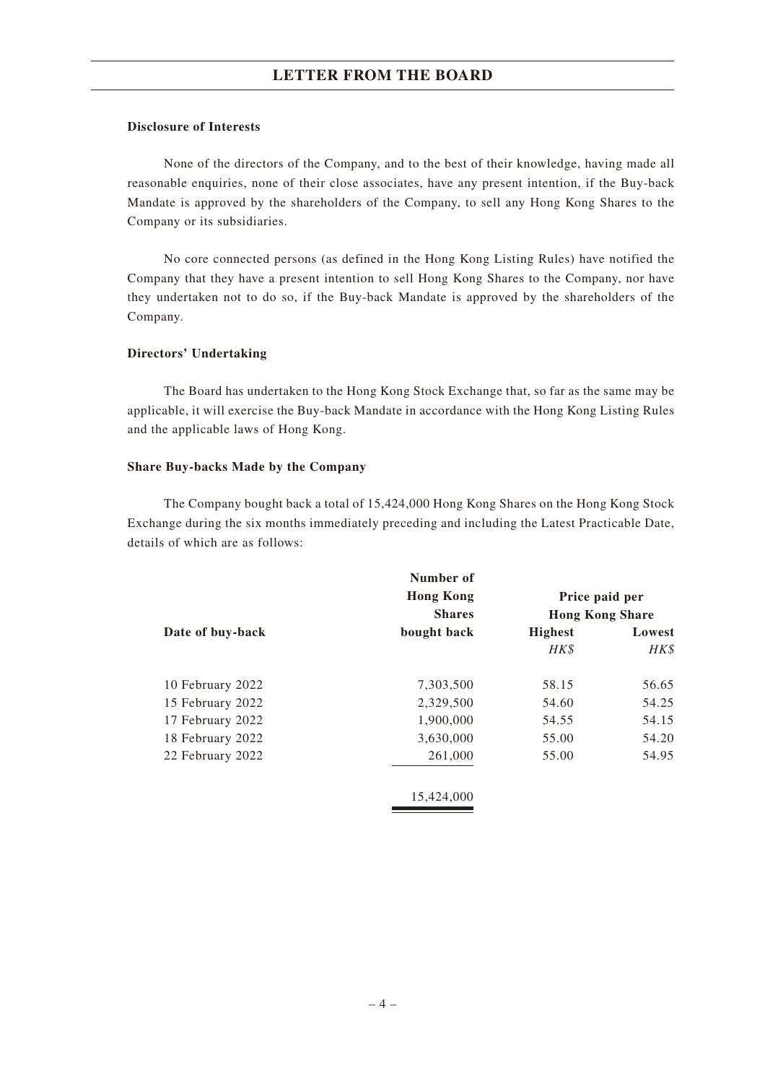#### **Disclosure of Interests**

None of the directors of the Company, and to the best of their knowledge, having made all reasonable enquiries, none of their close associates, have any present intention, if the Buy-back Mandate is approved by the shareholders of the Company, to sell any Hong Kong Shares to the Company or its subsidiaries.

No core connected persons (as defined in the Hong Kong Listing Rules) have notified the Company that they have a present intention to sell Hong Kong Shares to the Company, nor have they undertaken not to do so, if the Buy-back Mandate is approved by the shareholders of the Company.

#### **Directors' Undertaking**

The Board has undertaken to the Hong Kong Stock Exchange that, so far as the same may be applicable, it will exercise the Buy-back Mandate in accordance with the Hong Kong Listing Rules and the applicable laws of Hong Kong.

#### **Share Buy-backs Made by the Company**

The Company bought back a total of 15,424,000 Hong Kong Shares on the Hong Kong Stock Exchange during the six months immediately preceding and including the Latest Practicable Date, details of which are as follows:

|                  | Number of<br><b>Hong Kong</b><br><b>Shares</b> | Price paid per<br><b>Hong Kong Share</b> |        |  |
|------------------|------------------------------------------------|------------------------------------------|--------|--|
| Date of buy-back | bought back                                    | <b>Highest</b>                           | Lowest |  |
|                  |                                                | HK\$                                     | HK\$   |  |
| 10 February 2022 | 7,303,500                                      | 58.15                                    | 56.65  |  |
| 15 February 2022 | 2,329,500                                      | 54.60                                    | 54.25  |  |
| 17 February 2022 | 1,900,000                                      | 54.55                                    | 54.15  |  |
| 18 February 2022 | 3,630,000                                      | 55.00                                    | 54.20  |  |
| 22 February 2022 | 261,000                                        | 55.00                                    | 54.95  |  |
|                  | 15,424,000                                     |                                          |        |  |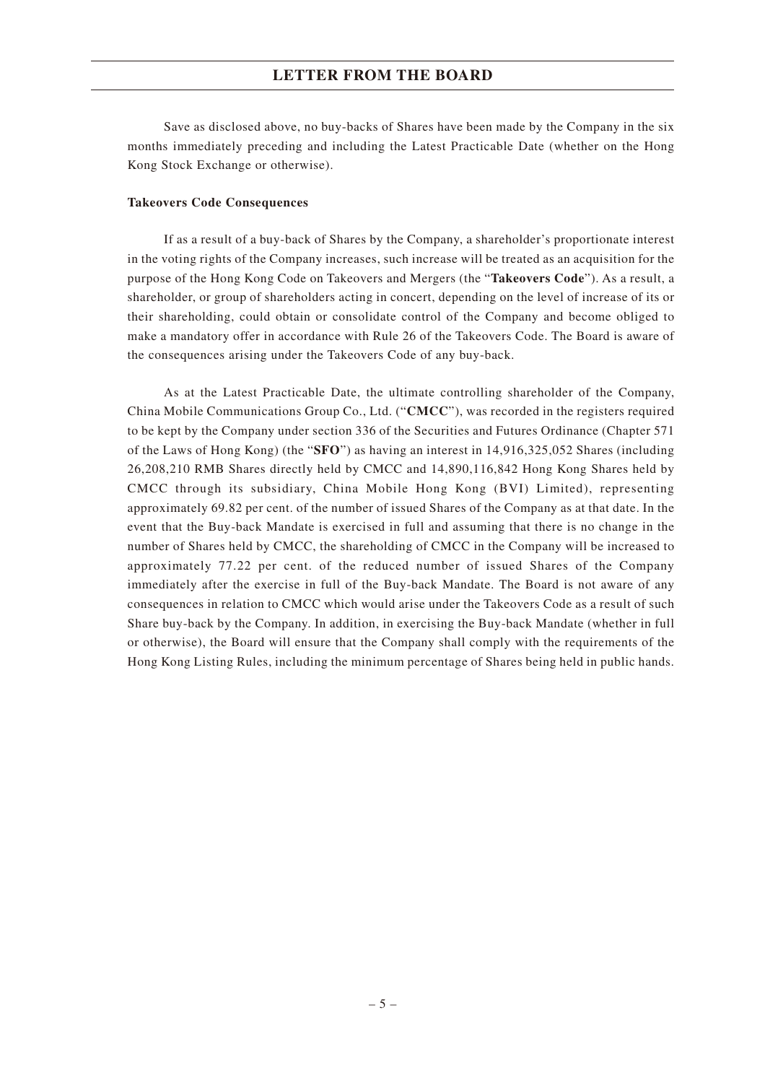Save as disclosed above, no buy-backs of Shares have been made by the Company in the six months immediately preceding and including the Latest Practicable Date (whether on the Hong Kong Stock Exchange or otherwise).

#### **Takeovers Code Consequences**

If as a result of a buy-back of Shares by the Company, a shareholder's proportionate interest in the voting rights of the Company increases, such increase will be treated as an acquisition for the purpose of the Hong Kong Code on Takeovers and Mergers (the "**Takeovers Code**"). As a result, a shareholder, or group of shareholders acting in concert, depending on the level of increase of its or their shareholding, could obtain or consolidate control of the Company and become obliged to make a mandatory offer in accordance with Rule 26 of the Takeovers Code. The Board is aware of the consequences arising under the Takeovers Code of any buy-back.

As at the Latest Practicable Date, the ultimate controlling shareholder of the Company, China Mobile Communications Group Co., Ltd. ("**CMCC**"), was recorded in the registers required to be kept by the Company under section 336 of the Securities and Futures Ordinance (Chapter 571 of the Laws of Hong Kong) (the "**SFO**") as having an interest in 14,916,325,052 Shares (including 26,208,210 RMB Shares directly held by CMCC and 14,890,116,842 Hong Kong Shares held by CMCC through its subsidiary, China Mobile Hong Kong (BVI) Limited), representing approximately 69.82 per cent. of the number of issued Shares of the Company as at that date. In the event that the Buy-back Mandate is exercised in full and assuming that there is no change in the number of Shares held by CMCC, the shareholding of CMCC in the Company will be increased to approximately 77.22 per cent. of the reduced number of issued Shares of the Company immediately after the exercise in full of the Buy-back Mandate. The Board is not aware of any consequences in relation to CMCC which would arise under the Takeovers Code as a result of such Share buy-back by the Company. In addition, in exercising the Buy-back Mandate (whether in full or otherwise), the Board will ensure that the Company shall comply with the requirements of the Hong Kong Listing Rules, including the minimum percentage of Shares being held in public hands.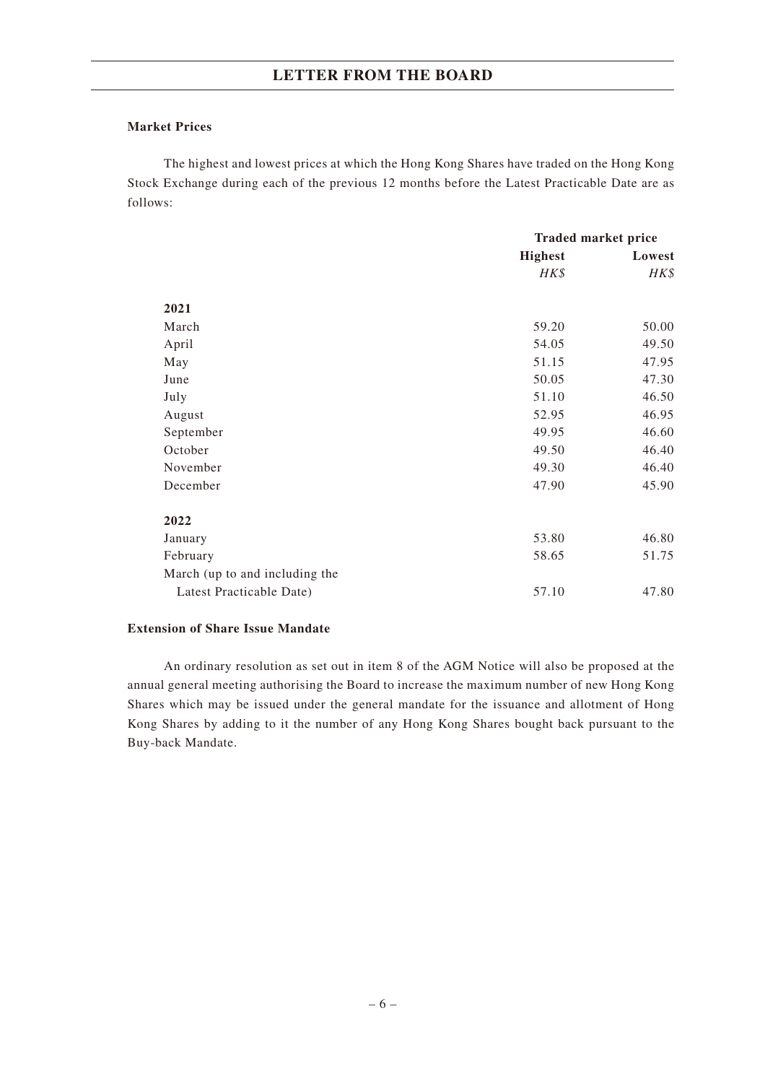#### **Market Prices**

The highest and lowest prices at which the Hong Kong Shares have traded on the Hong Kong Stock Exchange during each of the previous 12 months before the Latest Practicable Date are as follows:

|                                | <b>Traded market price</b> |        |  |
|--------------------------------|----------------------------|--------|--|
|                                | <b>Highest</b>             | Lowest |  |
|                                | HK\$                       | HK\$   |  |
| 2021                           |                            |        |  |
| March                          | 59.20                      | 50.00  |  |
| April                          | 54.05                      | 49.50  |  |
| May                            | 51.15                      | 47.95  |  |
| June                           | 50.05                      | 47.30  |  |
| July                           | 51.10                      | 46.50  |  |
| August                         | 52.95                      | 46.95  |  |
| September                      | 49.95                      | 46.60  |  |
| October                        | 49.50                      | 46.40  |  |
| November                       | 49.30                      | 46.40  |  |
| December                       | 47.90                      | 45.90  |  |
| 2022                           |                            |        |  |
| January                        | 53.80                      | 46.80  |  |
| February                       | 58.65                      | 51.75  |  |
| March (up to and including the |                            |        |  |
| Latest Practicable Date)       | 57.10                      | 47.80  |  |

### **Extension of Share Issue Mandate**

An ordinary resolution as set out in item 8 of the AGM Notice will also be proposed at the annual general meeting authorising the Board to increase the maximum number of new Hong Kong Shares which may be issued under the general mandate for the issuance and allotment of Hong Kong Shares by adding to it the number of any Hong Kong Shares bought back pursuant to the Buy-back Mandate.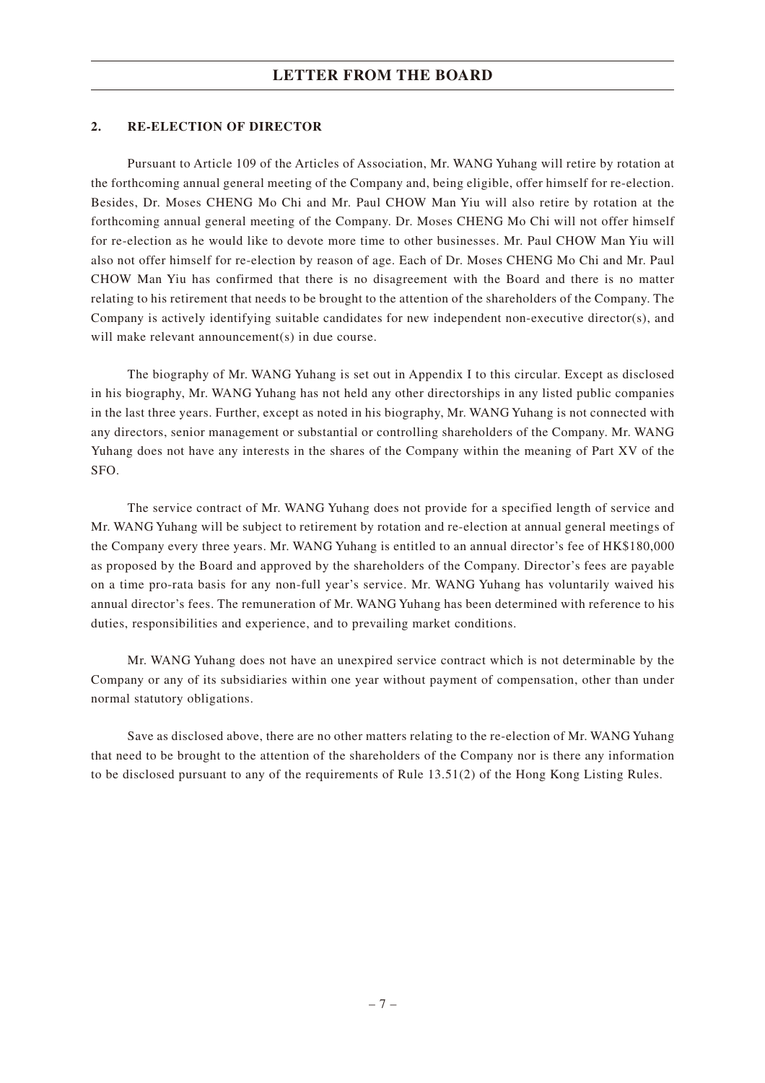### **2. RE-ELECTION OF DIRECTOR**

Pursuant to Article 109 of the Articles of Association, Mr. WANG Yuhang will retire by rotation at the forthcoming annual general meeting of the Company and, being eligible, offer himself for re-election. Besides, Dr. Moses CHENG Mo Chi and Mr. Paul CHOW Man Yiu will also retire by rotation at the forthcoming annual general meeting of the Company. Dr. Moses CHENG Mo Chi will not offer himself for re-election as he would like to devote more time to other businesses. Mr. Paul CHOW Man Yiu will also not offer himself for re-election by reason of age. Each of Dr. Moses CHENG Mo Chi and Mr. Paul CHOW Man Yiu has confirmed that there is no disagreement with the Board and there is no matter relating to his retirement that needs to be brought to the attention of the shareholders of the Company. The Company is actively identifying suitable candidates for new independent non-executive director(s), and will make relevant announcement(s) in due course.

The biography of Mr. WANG Yuhang is set out in Appendix I to this circular. Except as disclosed in his biography, Mr. WANG Yuhang has not held any other directorships in any listed public companies in the last three years. Further, except as noted in his biography, Mr. WANG Yuhang is not connected with any directors, senior management or substantial or controlling shareholders of the Company. Mr. WANG Yuhang does not have any interests in the shares of the Company within the meaning of Part XV of the SFO.

The service contract of Mr. WANG Yuhang does not provide for a specified length of service and Mr. WANG Yuhang will be subject to retirement by rotation and re-election at annual general meetings of the Company every three years. Mr. WANG Yuhang is entitled to an annual director's fee of HK\$180,000 as proposed by the Board and approved by the shareholders of the Company. Director's fees are payable on a time pro-rata basis for any non-full year's service. Mr. WANG Yuhang has voluntarily waived his annual director's fees. The remuneration of Mr. WANG Yuhang has been determined with reference to his duties, responsibilities and experience, and to prevailing market conditions.

Mr. WANG Yuhang does not have an unexpired service contract which is not determinable by the Company or any of its subsidiaries within one year without payment of compensation, other than under normal statutory obligations.

Save as disclosed above, there are no other matters relating to the re-election of Mr. WANG Yuhang that need to be brought to the attention of the shareholders of the Company nor is there any information to be disclosed pursuant to any of the requirements of Rule 13.51(2) of the Hong Kong Listing Rules.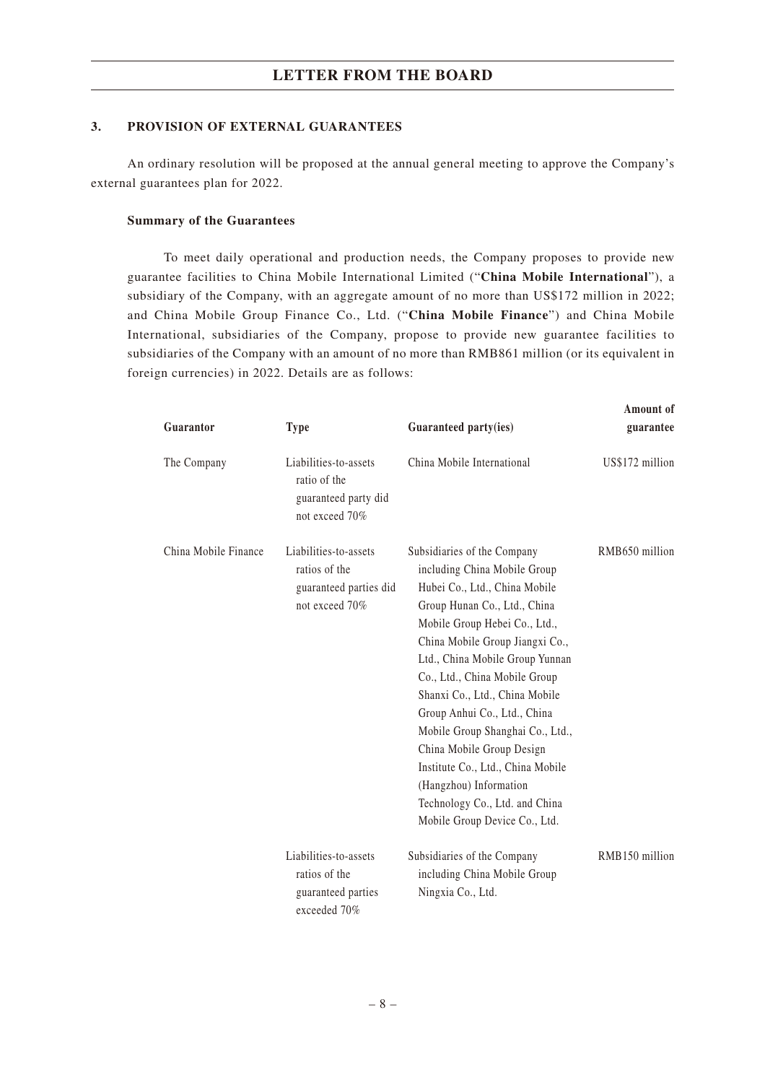#### **3. PROVISION OF EXTERNAL GUARANTEES**

An ordinary resolution will be proposed at the annual general meeting to approve the Company's external guarantees plan for 2022.

#### **Summary of the Guarantees**

To meet daily operational and production needs, the Company proposes to provide new guarantee facilities to China Mobile International Limited ("**China Mobile International**"), a subsidiary of the Company, with an aggregate amount of no more than US\$172 million in 2022; and China Mobile Group Finance Co., Ltd. ("**China Mobile Finance**") and China Mobile International, subsidiaries of the Company, propose to provide new guarantee facilities to subsidiaries of the Company with an amount of no more than RMB861 million (or its equivalent in foreign currencies) in 2022. Details are as follows:

| Guarantor                                                                                                  | <b>Type</b>                                                                     | Guaranteed party(ies)                                                                                                                                                                                                                                                                                                                                                                                                                                                                                                                     | Amount of<br>guarantee |
|------------------------------------------------------------------------------------------------------------|---------------------------------------------------------------------------------|-------------------------------------------------------------------------------------------------------------------------------------------------------------------------------------------------------------------------------------------------------------------------------------------------------------------------------------------------------------------------------------------------------------------------------------------------------------------------------------------------------------------------------------------|------------------------|
| The Company                                                                                                | Liabilities-to-assets<br>ratio of the<br>guaranteed party did<br>not exceed 70% | China Mobile International                                                                                                                                                                                                                                                                                                                                                                                                                                                                                                                | US\$172 million        |
| China Mobile Finance<br>Liabilities-to-assets<br>ratios of the<br>guaranteed parties did<br>not exceed 70% |                                                                                 | Subsidiaries of the Company<br>including China Mobile Group<br>Hubei Co., Ltd., China Mobile<br>Group Hunan Co., Ltd., China<br>Mobile Group Hebei Co., Ltd.,<br>China Mobile Group Jiangxi Co.,<br>Ltd., China Mobile Group Yunnan<br>Co., Ltd., China Mobile Group<br>Shanxi Co., Ltd., China Mobile<br>Group Anhui Co., Ltd., China<br>Mobile Group Shanghai Co., Ltd.,<br>China Mobile Group Design<br>Institute Co., Ltd., China Mobile<br>(Hangzhou) Information<br>Technology Co., Ltd. and China<br>Mobile Group Device Co., Ltd. | RMB650 million         |
|                                                                                                            | Liabilities-to-assets<br>ratios of the<br>guaranteed parties<br>exceeded 70%    | Subsidiaries of the Company<br>including China Mobile Group<br>Ningxia Co., Ltd.                                                                                                                                                                                                                                                                                                                                                                                                                                                          | RMB150 million         |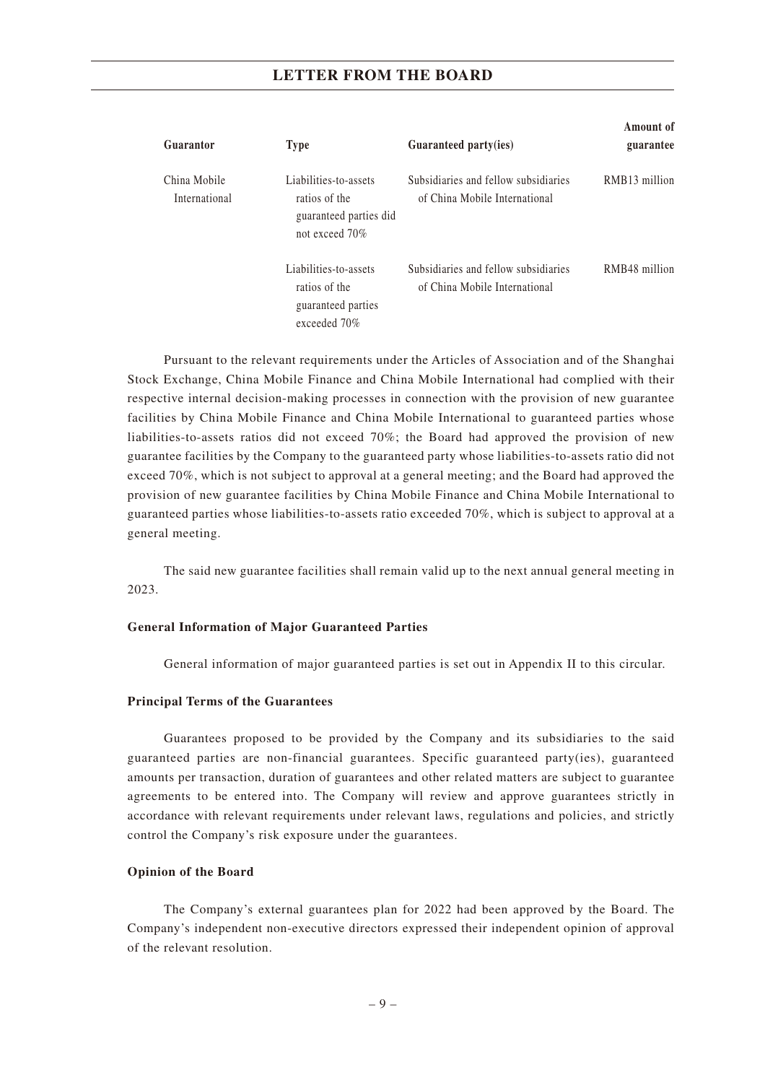| Guarantor                     | <b>Type</b>                                                                        | Guaranteed party(ies)                                                 | Amount of<br>guarantee |
|-------------------------------|------------------------------------------------------------------------------------|-----------------------------------------------------------------------|------------------------|
| China Mobile<br>International | Liabilities-to-assets<br>ratios of the<br>guaranteed parties did<br>not exceed 70% | Subsidiaries and fellow subsidiaries<br>of China Mobile International | RMB13 million          |
|                               | Liabilities-to-assets<br>ratios of the<br>guaranteed parties<br>exceeded 70%       | Subsidiaries and fellow subsidiaries<br>of China Mobile International | RMB48 million          |

Pursuant to the relevant requirements under the Articles of Association and of the Shanghai Stock Exchange, China Mobile Finance and China Mobile International had complied with their respective internal decision-making processes in connection with the provision of new guarantee facilities by China Mobile Finance and China Mobile International to guaranteed parties whose liabilities-to-assets ratios did not exceed 70%; the Board had approved the provision of new guarantee facilities by the Company to the guaranteed party whose liabilities-to-assets ratio did not exceed 70%, which is not subject to approval at a general meeting; and the Board had approved the provision of new guarantee facilities by China Mobile Finance and China Mobile International to guaranteed parties whose liabilities-to-assets ratio exceeded 70%, which is subject to approval at a general meeting.

The said new guarantee facilities shall remain valid up to the next annual general meeting in 2023.

#### **General Information of Major Guaranteed Parties**

General information of major guaranteed parties is set out in Appendix II to this circular.

#### **Principal Terms of the Guarantees**

Guarantees proposed to be provided by the Company and its subsidiaries to the said guaranteed parties are non-financial guarantees. Specific guaranteed party(ies), guaranteed amounts per transaction, duration of guarantees and other related matters are subject to guarantee agreements to be entered into. The Company will review and approve guarantees strictly in accordance with relevant requirements under relevant laws, regulations and policies, and strictly control the Company's risk exposure under the guarantees.

#### **Opinion of the Board**

The Company's external guarantees plan for 2022 had been approved by the Board. The Company's independent non-executive directors expressed their independent opinion of approval of the relevant resolution.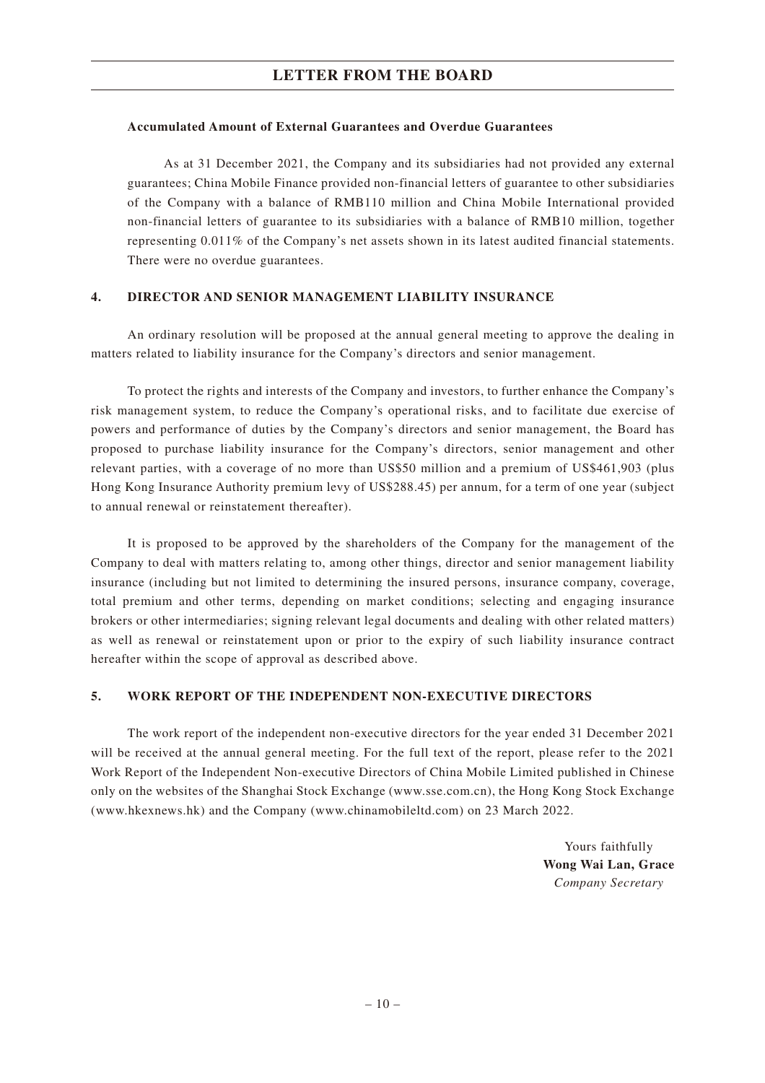#### **Accumulated Amount of External Guarantees and Overdue Guarantees**

As at 31 December 2021, the Company and its subsidiaries had not provided any external guarantees; China Mobile Finance provided non-financial letters of guarantee to other subsidiaries of the Company with a balance of RMB110 million and China Mobile International provided non-financial letters of guarantee to its subsidiaries with a balance of RMB10 million, together representing 0.011% of the Company's net assets shown in its latest audited financial statements. There were no overdue guarantees.

### **4. DIRECTOR AND SENIOR MANAGEMENT LIABILITY INSURANCE**

An ordinary resolution will be proposed at the annual general meeting to approve the dealing in matters related to liability insurance for the Company's directors and senior management.

To protect the rights and interests of the Company and investors, to further enhance the Company's risk management system, to reduce the Company's operational risks, and to facilitate due exercise of powers and performance of duties by the Company's directors and senior management, the Board has proposed to purchase liability insurance for the Company's directors, senior management and other relevant parties, with a coverage of no more than US\$50 million and a premium of US\$461,903 (plus Hong Kong Insurance Authority premium levy of US\$288.45) per annum, for a term of one year (subject to annual renewal or reinstatement thereafter).

It is proposed to be approved by the shareholders of the Company for the management of the Company to deal with matters relating to, among other things, director and senior management liability insurance (including but not limited to determining the insured persons, insurance company, coverage, total premium and other terms, depending on market conditions; selecting and engaging insurance brokers or other intermediaries; signing relevant legal documents and dealing with other related matters) as well as renewal or reinstatement upon or prior to the expiry of such liability insurance contract hereafter within the scope of approval as described above.

#### **5. WORK REPORT OF THE INDEPENDENT NON-EXECUTIVE DIRECTORS**

The work report of the independent non-executive directors for the year ended 31 December 2021 will be received at the annual general meeting. For the full text of the report, please refer to the 2021 Work Report of the Independent Non-executive Directors of China Mobile Limited published in Chinese only on the websites of the Shanghai Stock Exchange (www.sse.com.cn), the Hong Kong Stock Exchange (www.hkexnews.hk) and the Company (www.chinamobileltd.com) on 23 March 2022.

> Yours faithfully **Wong Wai Lan, Grace** *Company Secretary*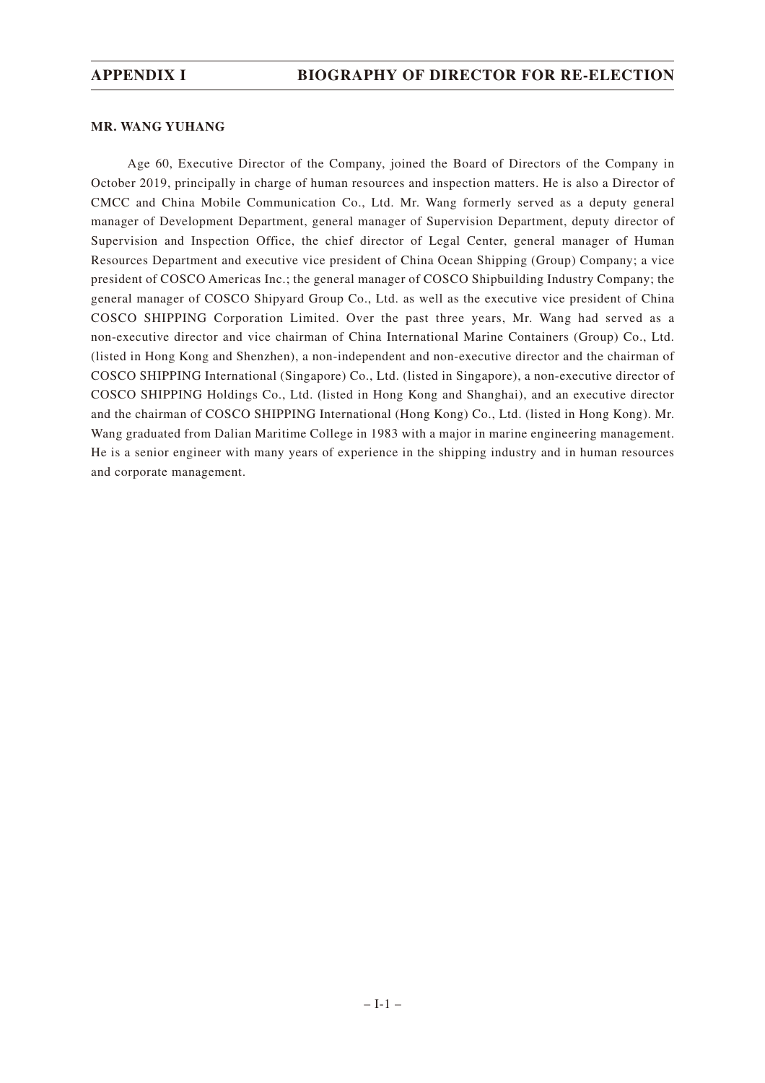#### **MR. WANG YUHANG**

Age 60, Executive Director of the Company, joined the Board of Directors of the Company in October 2019, principally in charge of human resources and inspection matters. He is also a Director of CMCC and China Mobile Communication Co., Ltd. Mr. Wang formerly served as a deputy general manager of Development Department, general manager of Supervision Department, deputy director of Supervision and Inspection Office, the chief director of Legal Center, general manager of Human Resources Department and executive vice president of China Ocean Shipping (Group) Company; a vice president of COSCO Americas Inc.; the general manager of COSCO Shipbuilding Industry Company; the general manager of COSCO Shipyard Group Co., Ltd. as well as the executive vice president of China COSCO SHIPPING Corporation Limited. Over the past three years, Mr. Wang had served as a non-executive director and vice chairman of China International Marine Containers (Group) Co., Ltd. (listed in Hong Kong and Shenzhen), a non-independent and non-executive director and the chairman of COSCO SHIPPING International (Singapore) Co., Ltd. (listed in Singapore), a non-executive director of COSCO SHIPPING Holdings Co., Ltd. (listed in Hong Kong and Shanghai), and an executive director and the chairman of COSCO SHIPPING International (Hong Kong) Co., Ltd. (listed in Hong Kong). Mr. Wang graduated from Dalian Maritime College in 1983 with a major in marine engineering management. He is a senior engineer with many years of experience in the shipping industry and in human resources and corporate management.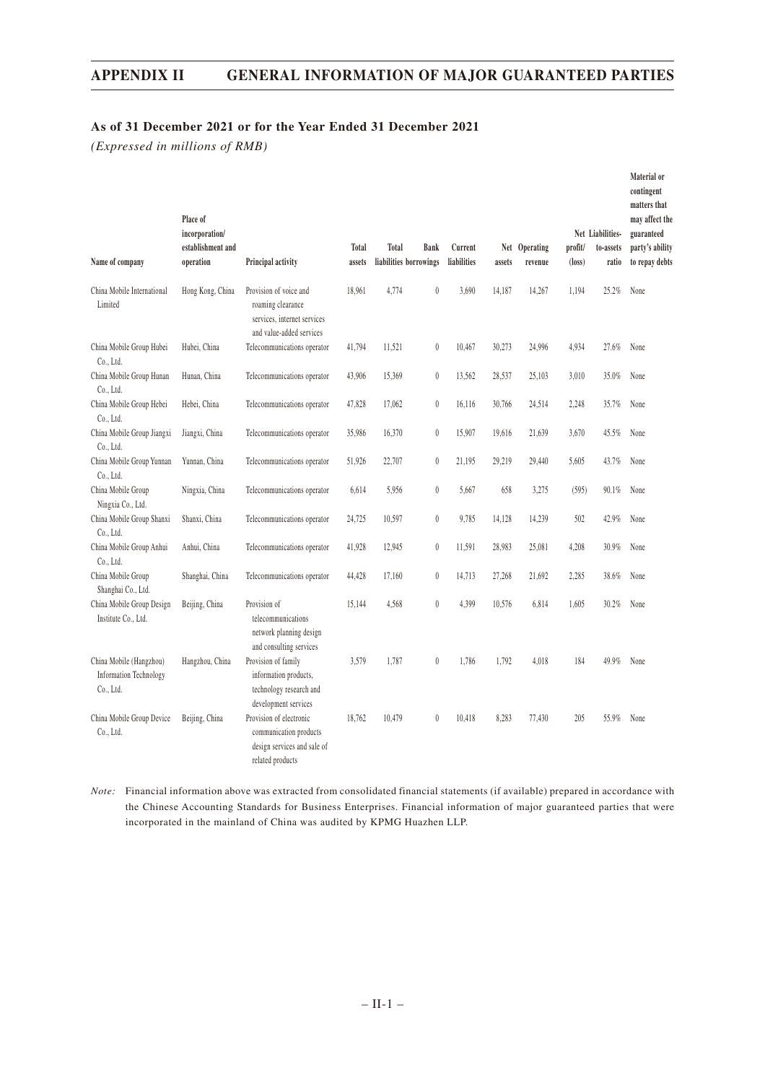### **APPENDIX II GENERAL INFORMATION OF MAJOR GUARANTEED PARTIES**

### **As of 31 December 2021 or for the Year Ended 31 December 2021**

*(Expressed in millions of RMB)*

| Name of company                                                       | Place of<br>incorporation/<br>establishment and<br>operation | Principal activity                                                                                     | Total<br>assets | Total<br>liabilities borrowings | <b>Bank</b>      | Current<br>liabilities | assets | Net Operating<br>revenue | profit/<br>$(\text{loss})$ | Net Liabilities-<br>to-assets<br>ratio | Material or<br>contingent<br>matters that<br>may affect the<br>guaranteed<br>party's ability<br>to repay debts |
|-----------------------------------------------------------------------|--------------------------------------------------------------|--------------------------------------------------------------------------------------------------------|-----------------|---------------------------------|------------------|------------------------|--------|--------------------------|----------------------------|----------------------------------------|----------------------------------------------------------------------------------------------------------------|
| China Mobile International<br>Limited                                 | Hong Kong, China                                             | Provision of voice and<br>roaming clearance<br>services, internet services<br>and value-added services | 18,961          | 4,774                           | $\boldsymbol{0}$ | 3,690                  | 14,187 | 14,267                   | 1,194                      | 25.2%                                  | None                                                                                                           |
| China Mobile Group Hubei<br>Co., Ltd.                                 | Hubei, China                                                 | Telecommunications operator                                                                            | 41,794          | 11,521                          | $\boldsymbol{0}$ | 10,467                 | 30,273 | 24,996                   | 4,934                      | 27.6%                                  | None                                                                                                           |
| China Mobile Group Hunan<br>Co., Ltd.                                 | Hunan, China                                                 | Telecommunications operator                                                                            | 43,906          | 15,369                          | $\boldsymbol{0}$ | 13,562                 | 28,537 | 25,103                   | 3,010                      | 35.0%                                  | None                                                                                                           |
| China Mobile Group Hebei<br>Co., Ltd.                                 | Hebei, China                                                 | Telecommunications operator                                                                            | 47,828          | 17.062                          | $\boldsymbol{0}$ | 16.116                 | 30,766 | 24,514                   | 2,248                      | 35.7%                                  | None                                                                                                           |
| China Mobile Group Jiangxi<br>Co., Ltd.                               | Jiangxi, China                                               | Telecommunications operator                                                                            | 35,986          | 16,370                          | $\boldsymbol{0}$ | 15,907                 | 19,616 | 21,639                   | 3,670                      | 45.5%                                  | None                                                                                                           |
| China Mobile Group Yunnan<br>Co., Ltd.                                | Yunnan, China                                                | Telecommunications operator                                                                            | 51,926          | 22,707                          | $\mathbf{0}$     | 21.195                 | 29.219 | 29.440                   | 5,605                      | 43.7%                                  | None                                                                                                           |
| China Mobile Group<br>Ningxia Co., Ltd.                               | Ningxia, China                                               | Telecommunications operator                                                                            | 6,614           | 5,956                           | $\boldsymbol{0}$ | 5,667                  | 658    | 3,275                    | (595)                      | 90.1%                                  | None                                                                                                           |
| China Mobile Group Shanxi<br>Co., Ltd.                                | Shanxi, China                                                | Telecommunications operator                                                                            | 24,725          | 10,597                          | $\boldsymbol{0}$ | 9,785                  | 14,128 | 14,239                   | 502                        | 42.9%                                  | None                                                                                                           |
| China Mobile Group Anhui<br>Co., Ltd.                                 | Anhui, China                                                 | Telecommunications operator                                                                            | 41,928          | 12,945                          | $\boldsymbol{0}$ | 11,591                 | 28,983 | 25,081                   | 4,208                      | 30.9%                                  | None                                                                                                           |
| China Mobile Group<br>Shanghai Co., Ltd.                              | Shanghai, China                                              | Telecommunications operator                                                                            | 44,428          | 17,160                          | $\boldsymbol{0}$ | 14,713                 | 27,268 | 21,692                   | 2,285                      | 38.6%                                  | None                                                                                                           |
| China Mobile Group Design<br>Institute Co., Ltd.                      | Beijing, China                                               | Provision of<br>telecommunications<br>network planning design<br>and consulting services               | 15,144          | 4,568                           | $\boldsymbol{0}$ | 4,399                  | 10,576 | 6,814                    | 1,605                      | 30.2%                                  | None                                                                                                           |
| China Mobile (Hangzhou)<br><b>Information Technology</b><br>Co., Ltd. | Hangzhou, China                                              | Provision of family<br>information products,<br>technology research and<br>development services        | 3,579           | 1,787                           | $\bf{0}$         | 1,786                  | 1.792  | 4.018                    | 184                        | 49.9%                                  | None                                                                                                           |
| China Mobile Group Device<br>Co., Ltd.                                | Beijing, China                                               | Provision of electronic<br>communication products<br>design services and sale of<br>related products   | 18,762          | 10,479                          | $\theta$         | 10.418                 | 8,283  | 77,430                   | 205                        | 55.9%                                  | None                                                                                                           |

*Note:* Financial information above was extracted from consolidated financial statements (if available) prepared in accordance with the Chinese Accounting Standards for Business Enterprises. Financial information of major guaranteed parties that were incorporated in the mainland of China was audited by KPMG Huazhen LLP.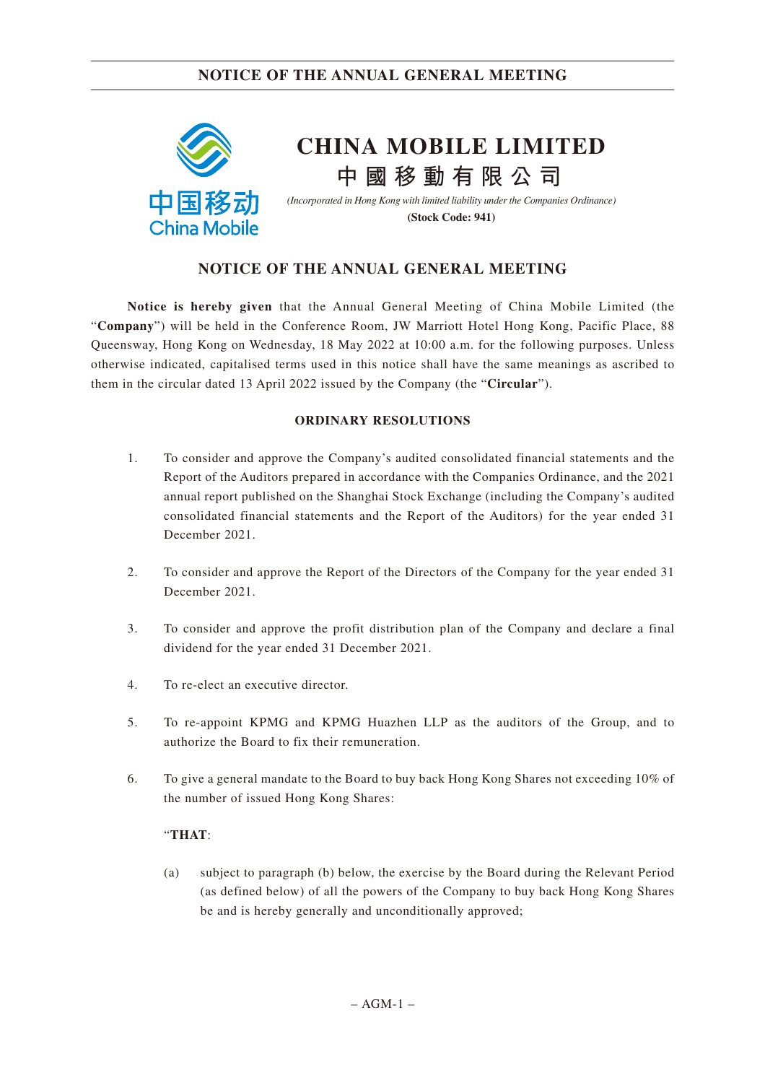

**Notice is hereby given** that the Annual General Meeting of China Mobile Limited (the "**Company**") will be held in the Conference Room, JW Marriott Hotel Hong Kong, Pacific Place, 88 Queensway, Hong Kong on Wednesday, 18 May 2022 at 10:00 a.m. for the following purposes. Unless otherwise indicated, capitalised terms used in this notice shall have the same meanings as ascribed to them in the circular dated 13 April 2022 issued by the Company (the "**Circular**").

#### **ORDINARY RESOLUTIONS**

- 1. To consider and approve the Company's audited consolidated financial statements and the Report of the Auditors prepared in accordance with the Companies Ordinance, and the 2021 annual report published on the Shanghai Stock Exchange (including the Company's audited consolidated financial statements and the Report of the Auditors) for the year ended 31 December 2021.
- 2. To consider and approve the Report of the Directors of the Company for the year ended 31 December 2021.
- 3. To consider and approve the profit distribution plan of the Company and declare a final dividend for the year ended 31 December 2021.
- 4. To re-elect an executive director.
- 5. To re-appoint KPMG and KPMG Huazhen LLP as the auditors of the Group, and to authorize the Board to fix their remuneration.
- 6. To give a general mandate to the Board to buy back Hong Kong Shares not exceeding 10% of the number of issued Hong Kong Shares:

#### "**THAT**:

(a) subject to paragraph (b) below, the exercise by the Board during the Relevant Period (as defined below) of all the powers of the Company to buy back Hong Kong Shares be and is hereby generally and unconditionally approved;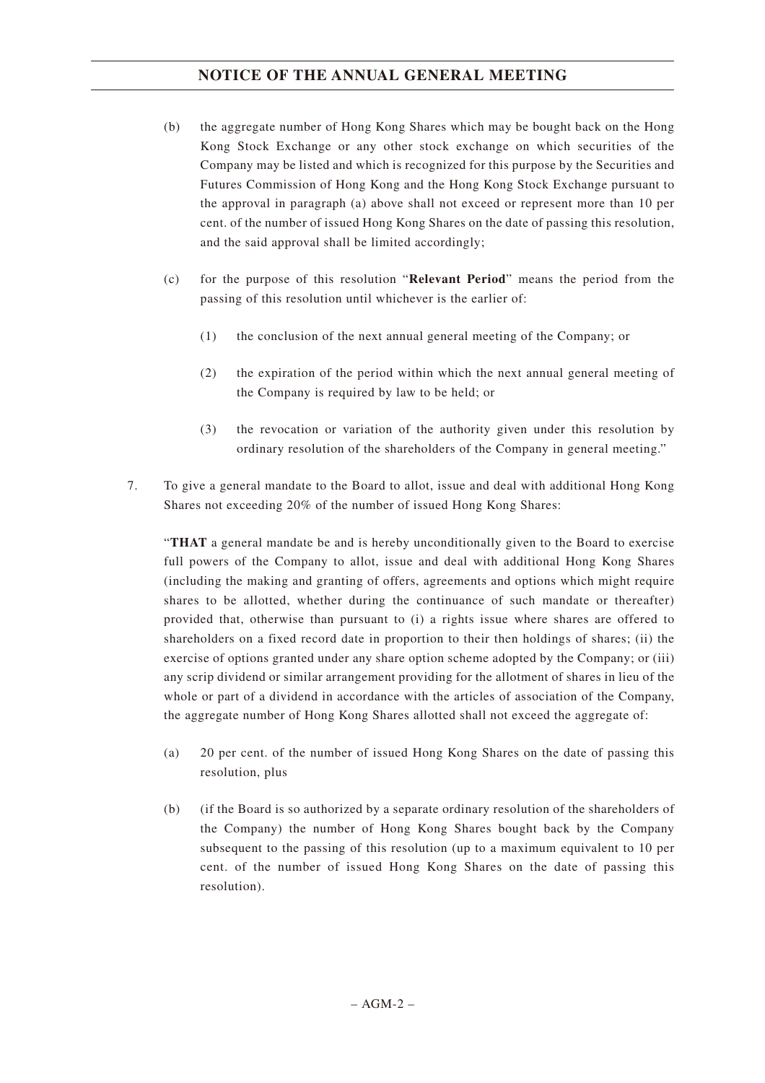- (b) the aggregate number of Hong Kong Shares which may be bought back on the Hong Kong Stock Exchange or any other stock exchange on which securities of the Company may be listed and which is recognized for this purpose by the Securities and Futures Commission of Hong Kong and the Hong Kong Stock Exchange pursuant to the approval in paragraph (a) above shall not exceed or represent more than 10 per cent. of the number of issued Hong Kong Shares on the date of passing this resolution, and the said approval shall be limited accordingly;
- (c) for the purpose of this resolution "**Relevant Period**" means the period from the passing of this resolution until whichever is the earlier of:
	- (1) the conclusion of the next annual general meeting of the Company; or
	- (2) the expiration of the period within which the next annual general meeting of the Company is required by law to be held; or
	- (3) the revocation or variation of the authority given under this resolution by ordinary resolution of the shareholders of the Company in general meeting."
- 7. To give a general mandate to the Board to allot, issue and deal with additional Hong Kong Shares not exceeding 20% of the number of issued Hong Kong Shares:

"**THAT** a general mandate be and is hereby unconditionally given to the Board to exercise full powers of the Company to allot, issue and deal with additional Hong Kong Shares (including the making and granting of offers, agreements and options which might require shares to be allotted, whether during the continuance of such mandate or thereafter) provided that, otherwise than pursuant to (i) a rights issue where shares are offered to shareholders on a fixed record date in proportion to their then holdings of shares; (ii) the exercise of options granted under any share option scheme adopted by the Company; or (iii) any scrip dividend or similar arrangement providing for the allotment of shares in lieu of the whole or part of a dividend in accordance with the articles of association of the Company, the aggregate number of Hong Kong Shares allotted shall not exceed the aggregate of:

- (a) 20 per cent. of the number of issued Hong Kong Shares on the date of passing this resolution, plus
- (b) (if the Board is so authorized by a separate ordinary resolution of the shareholders of the Company) the number of Hong Kong Shares bought back by the Company subsequent to the passing of this resolution (up to a maximum equivalent to 10 per cent. of the number of issued Hong Kong Shares on the date of passing this resolution).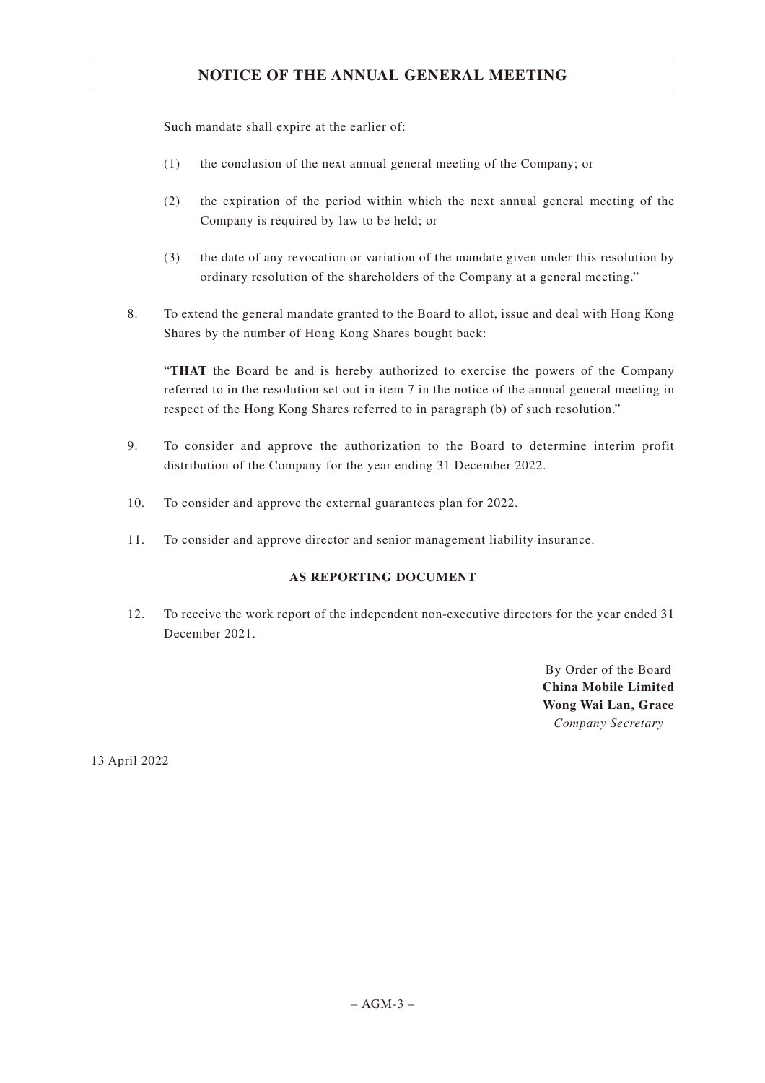Such mandate shall expire at the earlier of:

- (1) the conclusion of the next annual general meeting of the Company; or
- (2) the expiration of the period within which the next annual general meeting of the Company is required by law to be held; or
- (3) the date of any revocation or variation of the mandate given under this resolution by ordinary resolution of the shareholders of the Company at a general meeting."
- 8. To extend the general mandate granted to the Board to allot, issue and deal with Hong Kong Shares by the number of Hong Kong Shares bought back:

"**THAT** the Board be and is hereby authorized to exercise the powers of the Company referred to in the resolution set out in item 7 in the notice of the annual general meeting in respect of the Hong Kong Shares referred to in paragraph (b) of such resolution."

- 9. To consider and approve the authorization to the Board to determine interim profit distribution of the Company for the year ending 31 December 2022.
- 10. To consider and approve the external guarantees plan for 2022.
- 11. To consider and approve director and senior management liability insurance.

### **AS REPORTING DOCUMENT**

12. To receive the work report of the independent non-executive directors for the year ended 31 December 2021.

> By Order of the Board **China Mobile Limited Wong Wai Lan, Grace** *Company Secretary*

13 April 2022